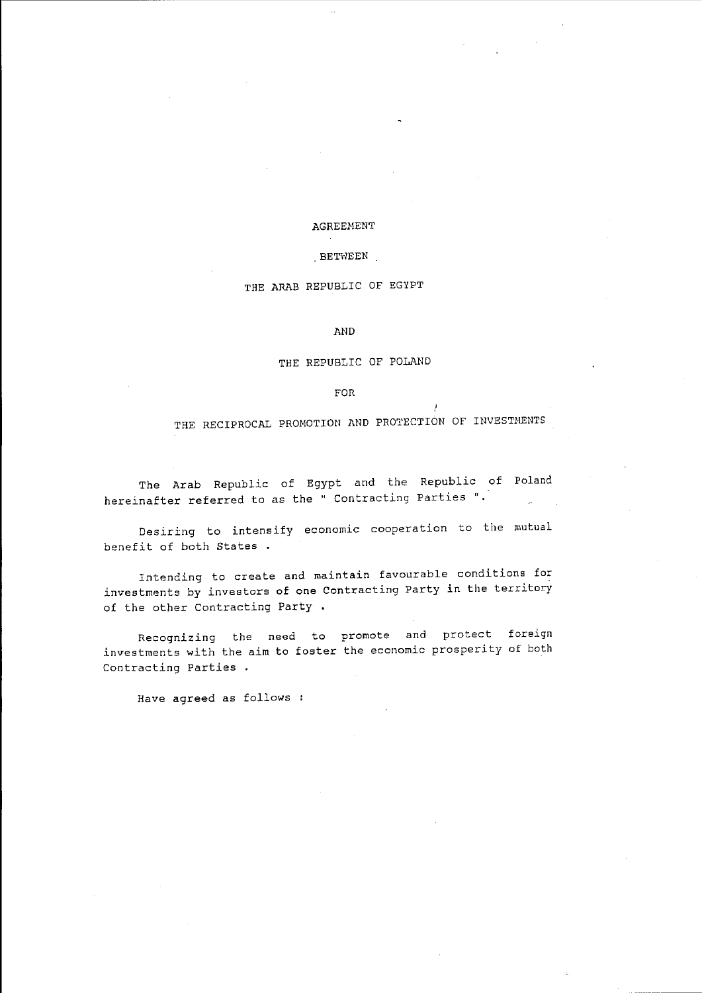## AGREEHENT

## BETWEEN

# THE ARAB REPUBLIC OF EGYPT

AND

#### THE REPUBLIC OF POLAND

FOR

THE RECIPROCAL PROMOTION AND PROTECTION OF INVESTMENTS

The Arab Republic of Egypt and the Republic of Poland hereinafter referred to as the" Contracting Parties ".

Desiring to intensify economic cooperation to the mutual benefit of both States.

Intending to create and maintain favourable conditions for investments by investors of one Contracting Party in the territory of the other Contracting Party .

Recognizing the need to promote and protect foreign investments with the aim to foster the economic prosperity of both Contracting Parties

Have agreed as follows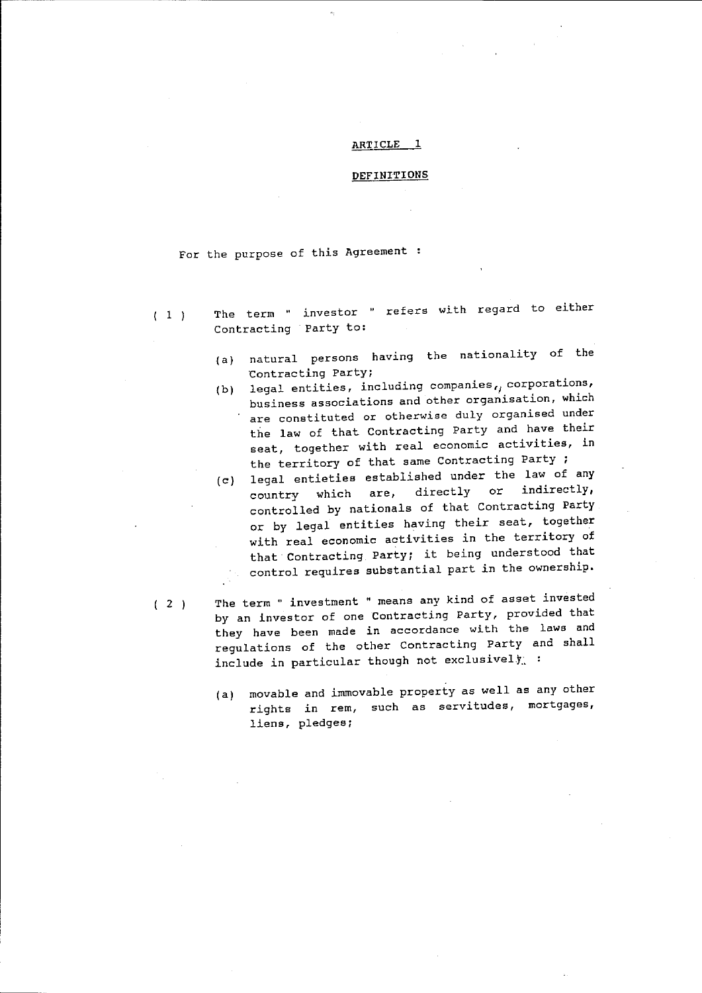#### ARTICLE<sub>1</sub>

#### DEFINITIONS

For the purpose of this Agreement :

- $(1)$ The term " investor " refers with regard to either Contracting Party to:
	- (a) natural persons having the nationality of the Contracting Party;
	- (b) legal entities, including companies, corporations, business associations and other organisation, which are constituted or otherwise duly organised under the law of that Contracting Party and have their seat, together with real economic activities, in the territory of that same Contracting Party ;
	- $(c)$  legal entieties established under the law of any<br>country which are, directly or indirectly, country which are, controlled by nationals of that contracting Party or by legal entities having their seat, together with real economic activities in the territory of that Contracting Party; it being understood that control requires substantial part in the ownership.
- $(2)$ The term " investment " means any kind of asset invested by an investor of one Contracting Party, provided that they have been made in accordance with the laws and regulations of the other Contracting Party and shall include in particular though not exclusively :
	- (a) movable and immovable property as well as any other rights in rem, such as servitudes, mortgages, liens, pledges;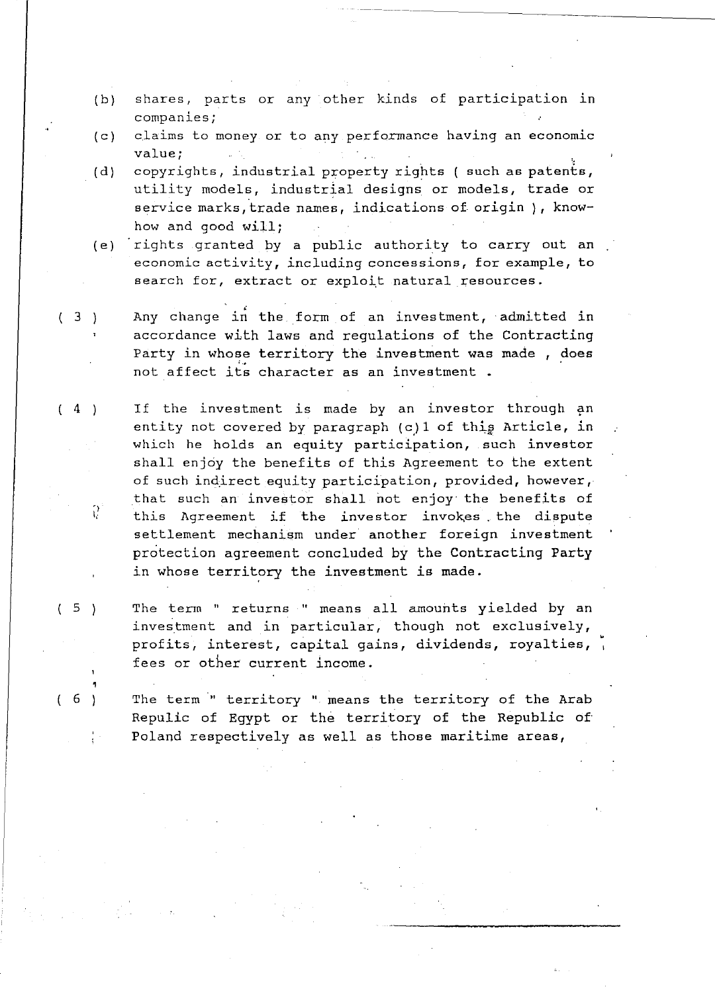- $(b)$  shares, parts or any other kinds of participation in companies;
- (c) claims to money or to any performance having an economic value;
- $(d)$ copyrights, industrial property rights (such as patents, utility models, industrial designs or models, trade or service marks, trade names, indications of origin), knowhow and good will;
- (e) rights granted by a public authority to carry out an economic activity, including concessions, for example, to search for, extract or exploit natural resources.
- ( 3 ) Any change in the form of an investment, admitted in accordance with laws and regulations of the Contracting Party in whose territory the investment was made , does not affect its character as an investment.
- $(4)$ ') Ii If the investment is made by an investor through an entity not covered by paragraph  $(c)$  1 of this Article, in which he holds an equity participation, such investor shall enjoy the benefits of this Agreement to the extent of such indirect equity participation, provided, however, that such an investor shall not enjoy the benefits of this Agreement if the investor invokes the dispute settlement mechanism under another foreign investment protection agreement concluded by the Contracting Party in whose territory the investment is made.
- (5) The term " returns " means all amounts yielded by an investment and in particular, though not exclusively, profits, interest, capital gains, dividends, royalties, fees or other current income.
- $(6)$  The term " territory " means the territory of the Arab Repulic of Egypt or the territory of the Republic of' Poland respectively as well as those maritime areas,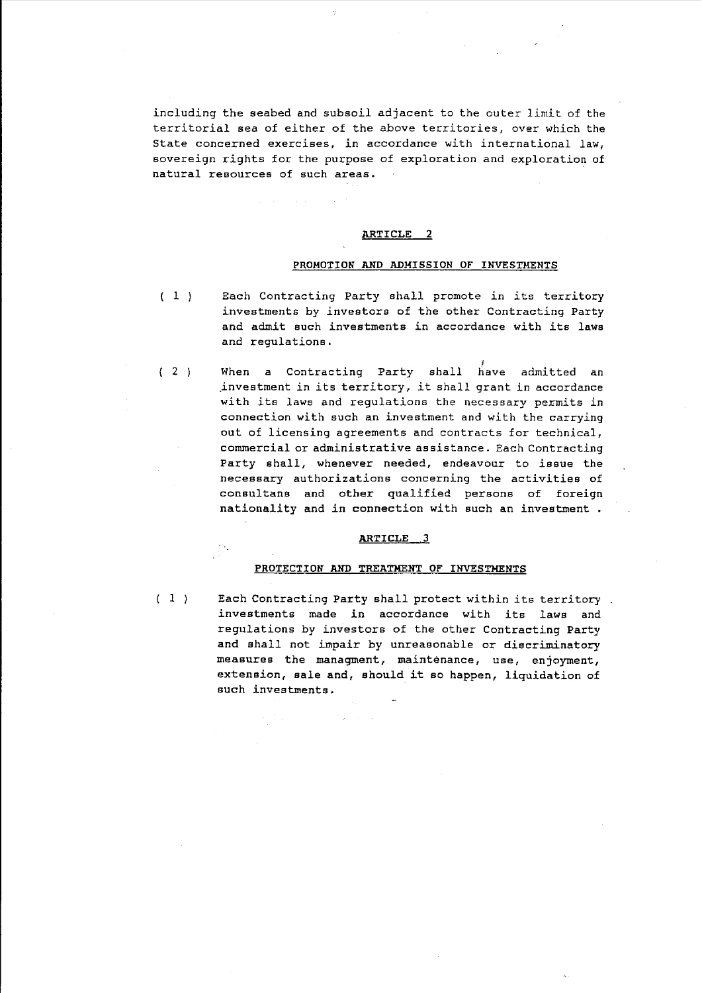including the seabed and subsoil adjacent to the outer limit of the territorial sea of either of the above territories, over which the State concerned exercises, in accordance with international law, sovereign rights for the purpose of exploration and exploration of natural resources of such areas.

### ARTICLE 2

#### PROMOTION AND ADMISSION OF INVESTMENTS

- $(1)$ Each Contracting Party shall promote in its territory investments by investors of the other Contracting Party and admit such investments in accordance with its laws and regulations.
- $(2)$ when a Contracting Party shall have admitted an .investment in its territory, it shall grant in accordance with its laws and regulations the necessary permits in connection with such an investment and with the carrying out of licensing agreements and contracts for technical, commercial or administrative assistance. Each Contracting Party shall, whenever needed, endeavour to issue the necessary authorizations concerning the activities of consultans and other qualified persons of foreign nationality and in connection with such an investment.

#### ARTICLE .3

## PROTECTION AND TREATMENT OF INVESTMENTS

 $(1)$ 

Each Contracting Party shall protect within its territory investments made in accordance with its laws and regulations by investors of the other Contracting Party and shall not impair by unreasonable or discriminatory measures the managment, maintenance, use, enjoyment, extension, sale and, should it so happen, liquidation of such investments.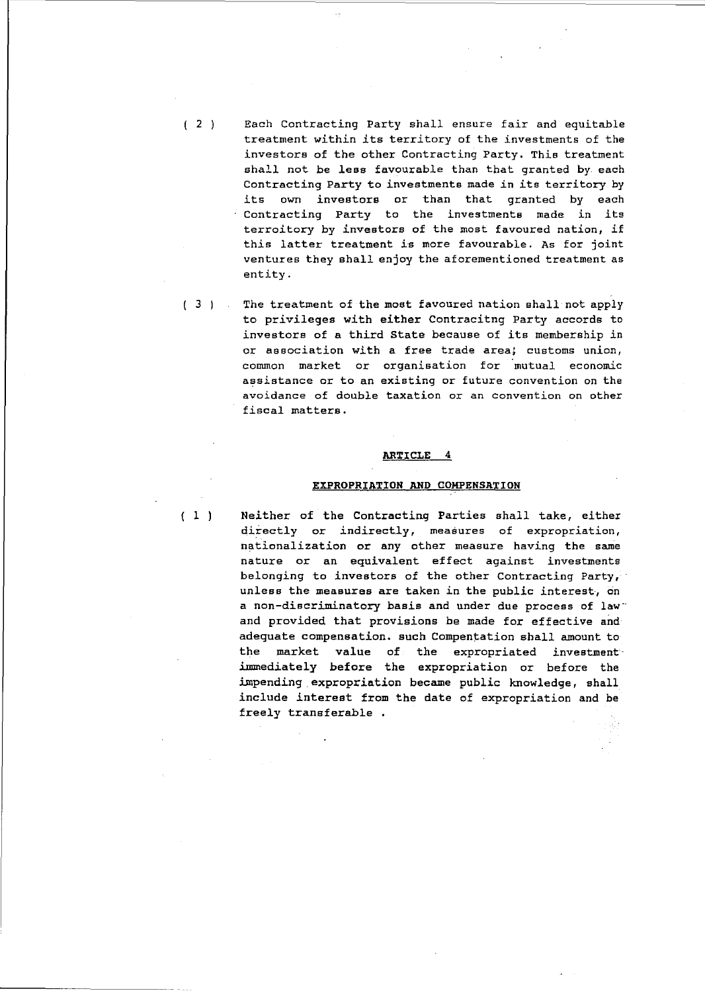$(2)$ Each Contracting Party shall ensure fair and equitable treatment within its territory of the investments of the investors of the other Contracting Party. This treatment shall not be less favourable than that granted by each Contracting Party to investments made in its territory by its own investors or than that granted by each Contracting Party to the investments made in its terroitory by investors of the most favoured nation, if this latter treatment is more favourable. As for joint ventures they shall enjoy the aforementioned treatment as entity.

 $(3)$ The treatment of the most favoured nation shall not apply to privileges with either Contracitng Party accords to investors of a third state because of its membership in or association with a free trade area, customs union, common market or organisation for mutual economic assistance or to an existing or future convention on the avoidance of double taxation or an convention on other fiscal matters.

#### ARTICLE 4

### EXPROPRIATION AND COMPENSATION

( 1 )

Neither of the Contracting Parties shall take, either directly or indirectly, measures of expropriation, nationalization or any other measure having the same nature or an equivalent effect against investments belonging to investors of the other Contracting Party, unless the measures are taken in the public interest, on a non-discriminatory basis and under due process of law" and provided that provisions be made for effective and adequate compensation. such Compentation shall amount to the market value of the expropriated investment immediately before the expropriation or before the impending expropriation became public knowledge, shall include interest from the date of expropriation and be freely transferable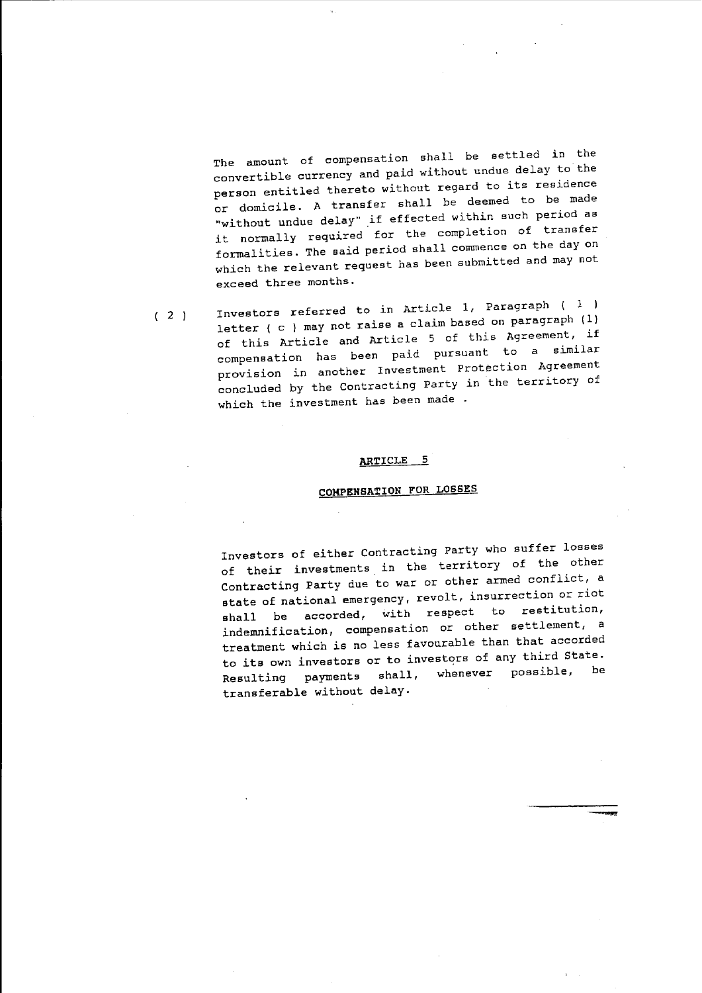The amount of compensation shall be settled in the convertible currency and paid without undue delay to the person entitled thereto without regard to its residence or domicile. A transfer shall be deemed to be made "without undue delay" if effected within such period as it normally required for the completion of transfer formalities. The said period shall commence on the day on which the relevant request has been submitted and may not exceed three months.

 $(2)$ Investors referred to in Article 1, Paragraph  $(1)$ letter ( c ) may not raise a claim based on paragraph (1) of this Article and Article 5 of this Agreement, if compensation has been paid pursuant to a similar provision in another Investment protection Agreement concluded by the Contracting Party in the territory of which the investment has been made.

#### **ARTICLE 5**

# **COMPENSATION FOR LOSSES**

Investors of either Contracting Party who suffer 109ses of their investments in the territory of the other Contracting Party due to war or other armed conflict, a state of national emergency, revolt, insurrection or riot shall be accorded, with respect to restitution, indemnification, compensation or other settlement, a treatment which is no less favourable than that accorded to its own investors or to investors of any third State. Resulting payments shall, whenever possible, be transferable without delay.

--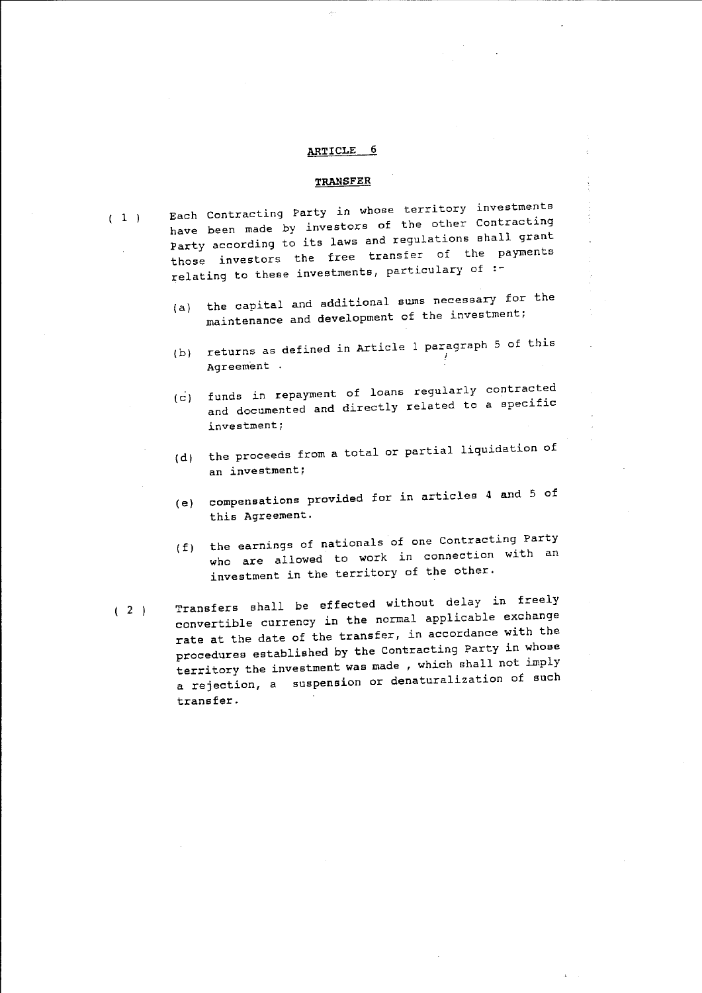#### TRANSFER

 $(1)$ 

- Each Contracting Party in whose territory investments have been made by investors of the other contracting Party according to its laws and regulations shall grant those investors the free transfer of the payments relating to these investments, particulary of  $:$ 
	- $(a)$ the capital and additional sums necessary for the maintenance and development of the investment;
	- (b) returns as defined in Article 1 paragraph 5 of this ! Agreement .
	- funds in repayment of loans regularly contracted  $(c)$ and documented and directly related to a specific investment;
	- (d) the proceeds from a total or partial liquidation of an investment;
	- (e) compensations provided for in articles 4 and 5 of this Agreement.
	- (f) the earnings of nationals of one Contracting Party who are allowed to work in connection with an investment in the territory of the other.
- $(2)$ Transfers shall be effected without delay in freely convertible currency in the normal applicable exchange rate at the date of the transfer, in accordance with the procedures established by the Contracting Party in whose territory the investment was made, which shall not imply a rejection, a suspension or denaturalization of such transfer.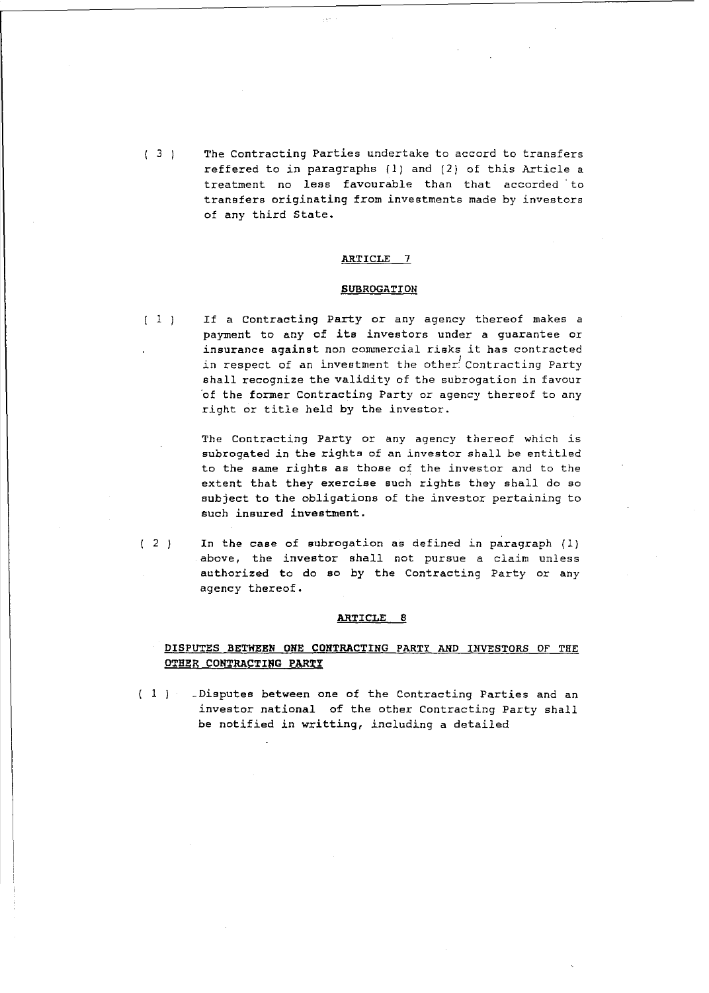$(3)$ The Contracting Parties undertake to accord to transfers reffered to in paragraphs (1) and (2) of this Article a treatment no less favourable than that accorded to transfers originating from investments made by investors of any third State.

#### ARTICLE 7

#### **SUBROGATION**

 $(1)$ If a Contracting Party or any agency thereof makes a payment to any of its investors under a guarantee or insurance against non commercial risks it has contracted in respect of an investment the other<sup>'</sup> Contracting Party shall recognize the validity of the subrogation in favour 'of the former Contracting Party or agency thereof to any right or title held by the investor.

> The Contracting Party or any agency thereof which is subrogated in the rights of an investor shall be entitled to the same rights as those of the investor and to the extent that they exercise such rights they shall do so subject to the obligations of the investor pertaining to such insured investment.

 $(2)$ In the case of subrogation as defined in paragraph (1) above, the investor shall not pursue a claim unless authorized to do so by the Contracting Party or any agency thereof.

#### ARTICLE 8

# DISPUTES BETWEEN ONE CONTRACTING PARTY AND INVESTORS OF THE OTHER CONTRACTING PARTY

(1) Disputes between one of the Contracting Parties and an investor national of the other Contracting Party shall be notified in writting, including a detailed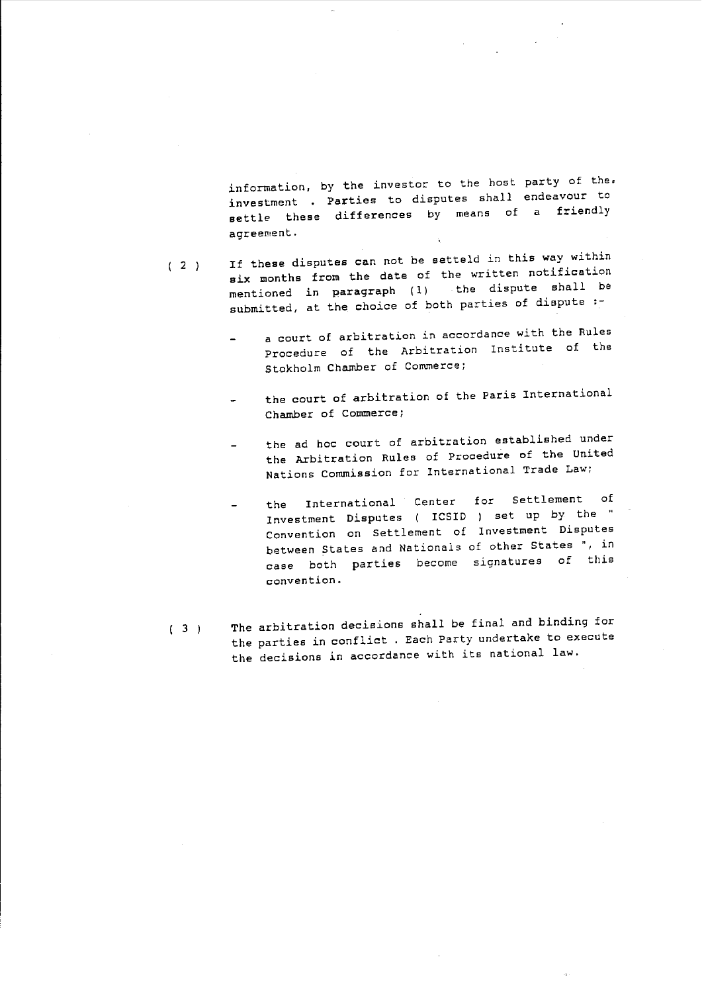information, by the investor to the host party of the. investment Parties to disputes shall endeavour to Investment . It is a finally means of a friendly agreement.

- $(2)$ If these disputes can not be setteld in this way within six months from the date of the written notification mentioned in paragraph (1) the dispute shall be submitted, at the choice of both parties of dispute :
	- a court of arbitration in accordance with the Rules Procedure of the Arbitration Institute of the stokholm Chamber of Commerce;
	- the court of arbitration of the Paris International Chamber of Commerce;
	- the ad hoc court of arbitration established under the Arbitration Rules of Procedure of the united Nations Commission for International Trade Law;
	- the International Center for Settlement of Investment Disputes ( ICSID ) set up by the Convention on Settlement of Investment Disputes between States and Nationals of other states ", in case both parties become signatures of this convention.
- $(3)$ The arbitration decisions shall be final and binding for the parties in conflict. Each Party undertake to execute the decisions in accordance with its national law.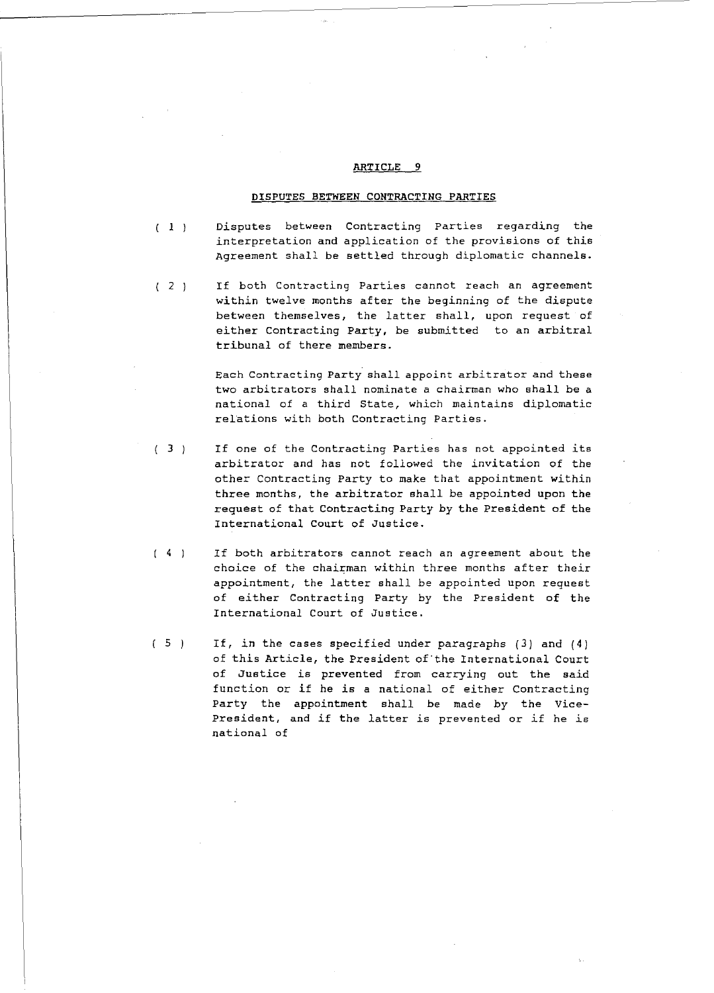#### **DISPUTES BETWEEN CONTRACTING PARTIES**

- $(1)$ Disputes between Contracting Parties regarding the interpretation and application of the provisions of this Agreement shall be settled through diplomatic channels.
- $(2)$ If both Contracting Parties cannot reach an agreement within twelve months after the beginning of the dispute between themselves, the latter shall, upon request of either Contracting Party, be submitted to an arbitral tribunal of there members.

Each Contracting Party shall appoint arbitrator and these two arbitrators shall nominate a chairman who shall be a national of a third State, which maintains diplomatic relations with both Contracting Parties.

- $(3)$ If one of the Contracting Parties has not appointed *its*  arbitrator and has not followed the invitation of the other Contracting Party to make that appointment within three months, the arbitrator shall be *appointed* upon the request of that Contracting Party by the President of the International Court of Justice.
- $(4)$ If both arbitrators cannot reach an agreement about the *choice of the chairman within three months after their* appointment, the latter shall be appointed upon request of *either* Contracting Party by the President of the International Court of Justice.
- $(5)$ If, *in* the cases specified under paragraphs (3) and (4) of this Article, the President of·the International Court of Justice is prevented from carrying out the *said*  function or if he is a national of either Contracting Party the appointment shall be made by the Vice-President, and if the latter is prevented or if he is national of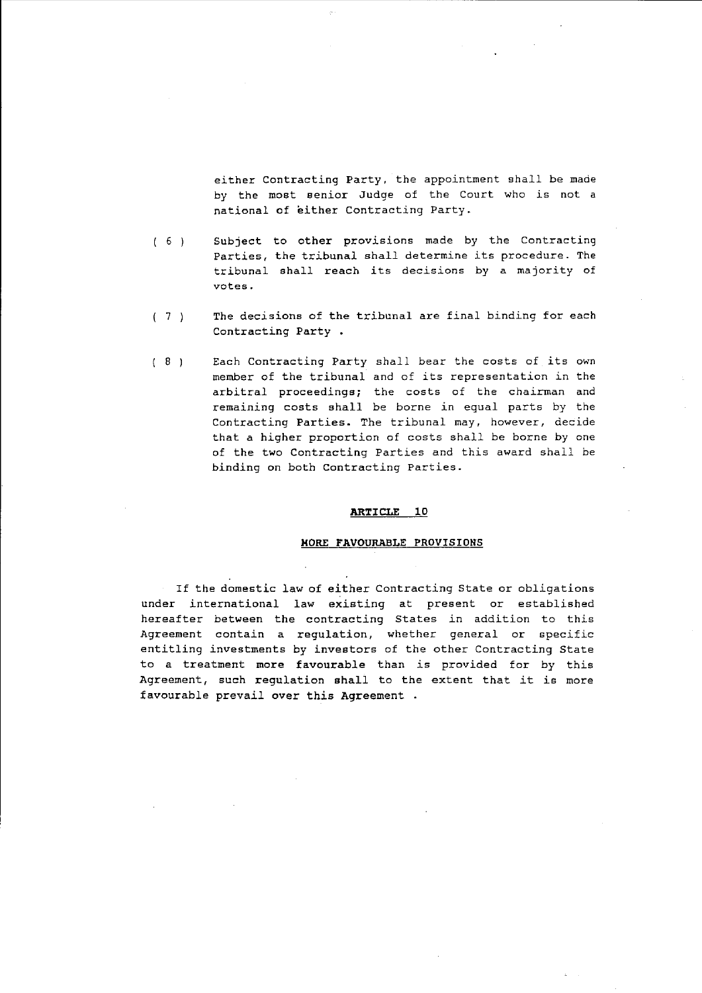either Contracting Party, the appointment shall be made by the most senior Judge of the Court who is not a national of either Contracting Party.

- $(6)$ Subject to other provisions made by the Contracting Parties, the tribunal shall determine its procedure. The tribunal shall reach its decisions by a majority of **votes.**
- $(7)$ The decisions of the tribunal are final binding for each Contracting Party.
- $( 8 )$ Each Contracting Party shall bear the costs of its own member of the tribunal and of its representation in the arbitral proceedings; the costs of the chairman and remaining costs shall be borne in equal parts by the Contracting Parties. The tribunal may, however, decide that a higher proportion of costs shall be borne by one of the two Contracting Parties and this award shall be binding on both Contracting Parties.

#### **ARTICLE 10**

# **HORE FAVOURABLE** PROVISIONS

If the domestic law of either Contracting State or obligations under international law existing at present or established hereafter between the contracting States in addition to this Agreement contain a regulation, whether general or specific entitling investments by investors of the other Contracting State to a treatment more favourable than is provided for by this Agreement, such regulation shall to the extent that it is more favourable prevail over this Agreement .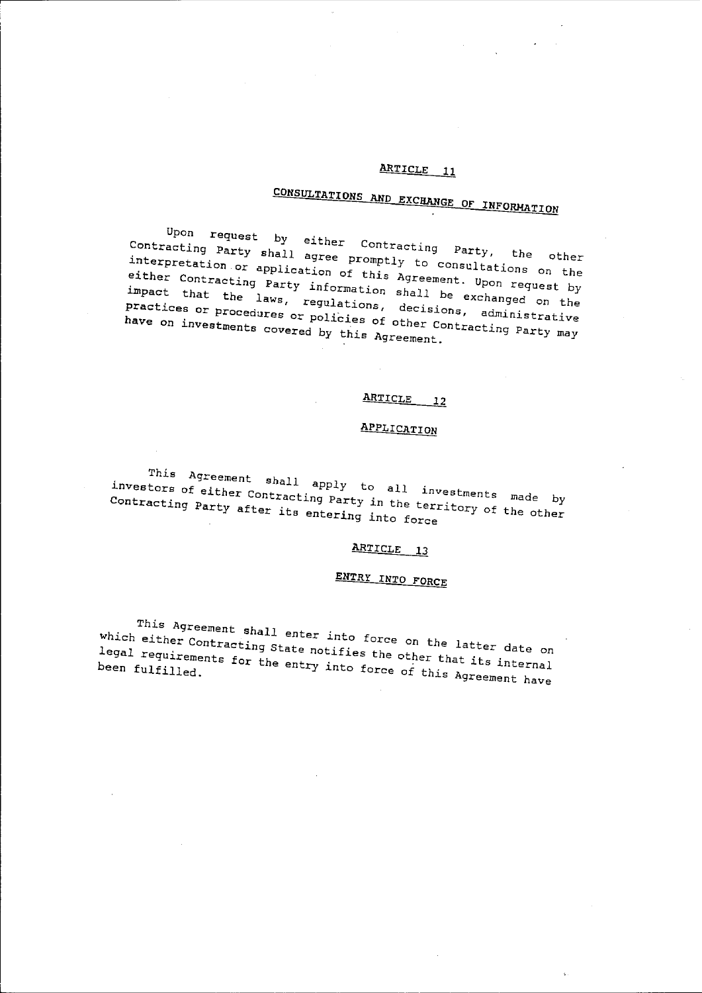# **CONSULTATIONS ANn EXCHANGE OF INFORMATION**

 $U_{\rm eff}$  request by either Contracting Party, the other other contracting  $V_{\rm part}$ contracting Party shall agree promptly to consultation of the other either Contraction or application of this Agreement. Upon the interpretation or application of this Agreement. Upon request by<br>either Contracting Party information shall be exchanged on the That the laws, regulations, decisions, and the practices or the procedures or policies of other Contractive material procedures or policies of other Contractive Practices or procedures or policies of other Contracting Party may<br>have on investments covered by this Agreement.

# **ARTICLE** 12

# **APPLICATION**

This Agreement shall apply to all investments made by<br>investors of either Contracting Party in the territory of the other<br>Contracting Party after its entering into force contracting party of either Contracting Party in the territory of the by Contracting Party after its entering in the term

# **ARTICLE** 13

# **ENTRY INTO FORCE**

This Agreement shall enter into force on the latter date on which either Contracting State notifies the other that *its* internal legal requirements for the entry into force of this Agreement have